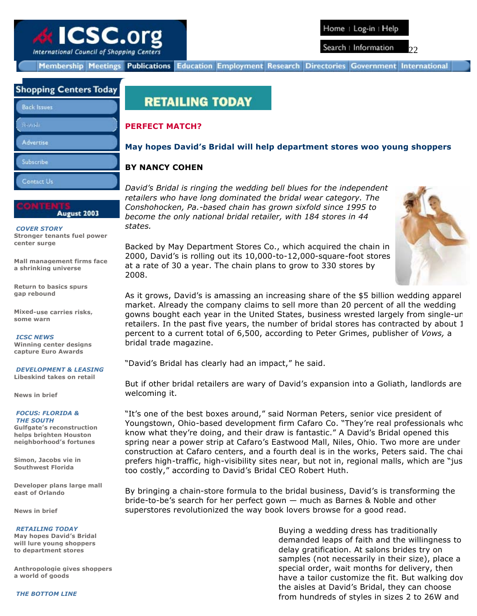

International Council of Shopping Centers

Search : Information 22

Education Employment Research Directories Government International **Membership Meetings Publications** 

## **Shopping Centers Today**

| <b>Back Issues</b> |  |
|--------------------|--|
| Swish.             |  |
| <b>Advertise</b>   |  |
| Subscribe          |  |
| Contact Us         |  |

August 2003

 *COVER STORY* **Stronger tenants fuel power center surge**

**Mall management firms face a shrinking universe**

**Return to basics spurs gap rebound**

**Mixed-use carries risks, some warn**

*ICSC NEWS*

**Winning center designs capture Euro Awards**

*DEVELOPMENT & LEASING* **Libeskind takes on retail**

**News in brief**

#### *FOCUS: FLORIDA & THE SOUTH*

**Gulfgate's reconstruction helps brighten Houston neighborhood's fortunes**

**Simon, Jacobs vie in Southwest Florida**

**Developer plans large mall east of Orlando**

**News in brief**

*RETAILING TODAY*

**May hopes David's Bridal will lure young shoppers to department stores**

**Anthropologie gives shoppers a world of goods**

*THE BOTTOM LINE*

# **RETAILING TODAY**

### **PERFECT MATCH?**

### **May hopes David's Bridal will help department stores woo young shoppers**

### **BY NANCY COHEN**

*David's Bridal is ringing the wedding bell blues for the independent retailers who have long dominated the bridal wear category. The Conshohocken, Pa.-based chain has grown sixfold since 1995 to become the only national bridal retailer, with 184 stores in 44 states.*

Backed by May Department Stores Co., which acquired the chain in 2000, David's is rolling out its 10,000-to-12,000-square-foot stores at a rate of 30 a year. The chain plans to grow to 330 stores by 2008.



As it grows, David's is amassing an increasing share of the \$5 billion wedding apparel market. Already the company claims to sell more than 20 percent of all the wedding gowns bought each year in the United States, business wrested largely from single-un retailers. In the past five years, the number of bridal stores has contracted by about 1 percent to a current total of 6,500, according to Peter Grimes, publisher of *Vows,* a bridal trade magazine.

"David's Bridal has clearly had an impact," he said.

But if other bridal retailers are wary of David's expansion into a Goliath, landlords are welcoming it.

"It's one of the best boxes around," said Norman Peters, senior vice president of Youngstown, Ohio-based development firm Cafaro Co. "They're real professionals who know what they're doing, and their draw is fantastic." A David's Bridal opened this spring near a power strip at Cafaro's Eastwood Mall, Niles, Ohio. Two more are under construction at Cafaro centers, and a fourth deal is in the works, Peters said. The chain prefers high-traffic, high-visibility sites near, but not in, regional malls, which are "jus too costly," according to David's Bridal CEO Robert Huth.

By bringing a chain-store formula to the bridal business, David's is transforming the bride-to-be's search for her perfect gown — much as Barnes & Noble and other superstores revolutionized the way book lovers browse for a good read.

> Buying a wedding dress has traditionally demanded leaps of faith and the willingness to delay gratification. At salons brides try on samples (not necessarily in their size), place a special order, wait months for delivery, then have a tailor customize the fit. But walking dov the aisles at David's Bridal, they can choose from hundreds of styles in sizes 2 to 26W and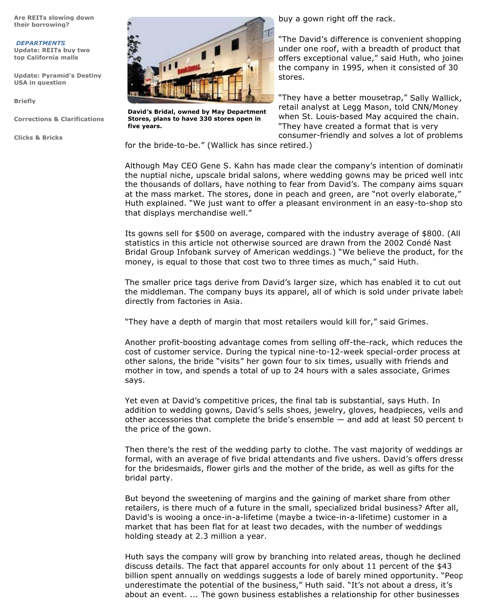**Are REITs slowing down their borrowing?**

*DEPARTMENTS* **Update: REITs buy two top California malls**

**Update: Pyramid's Destiny USA in question**

**Briefly**

**Corrections & Clarifications**

**Clicks & Bricks**



**David's Bridal, owned by May Department Stores, plans to have 330 stores open in five years.**

buy a gown right off the rack.

"The David's difference is convenient shopping under one roof, with a breadth of product that offers exceptional value," said Huth, who joined the company in 1995, when it consisted of 30 stores.

"They have a better mousetrap," Sally Wallick, retail analyst at Legg Mason, told CNN/Money when St. Louis-based May acquired the chain. "They have created a format that is very consumer-friendly and solves a lot of problems

for the bride-to-be." (Wallick has since retired.)

Although May CEO Gene S. Kahn has made clear the company's intention of dominating the nuptial niche, upscale bridal salons, where wedding gowns may be priced well into the thousands of dollars, have nothing to fear from David's. The company aims square at the mass market. The stores, done in peach and green, are "not overly elaborate," Huth explained. "We just want to offer a pleasant environment in an easy-to-shop sto that displays merchandise well."

Its gowns sell for \$500 on average, compared with the industry average of \$800. (All statistics in this article not otherwise sourced are drawn from the 2002 Condé Nast Bridal Group Infobank survey of American weddings.) "We believe the product, for the money, is equal to those that cost two to three times as much," said Huth.

The smaller price tags derive from David's larger size, which has enabled it to cut out the middleman. The company buys its apparel, all of which is sold under private labels, directly from factories in Asia.

"They have a depth of margin that most retailers would kill for," said Grimes.

Another profit-boosting advantage comes from selling off-the-rack, which reduces the cost of customer service. During the typical nine-to-12-week special-order process at other salons, the bride "visits" her gown four to six times, usually with friends and mother in tow, and spends a total of up to 24 hours with a sales associate, Grimes says.

Yet even at David's competitive prices, the final tab is substantial, says Huth. In addition to wedding gowns, David's sells shoes, jewelry, gloves, headpieces, veils and other accessories that complete the bride's ensemble - and add at least 50 percent to the price of the gown.

Then there's the rest of the wedding party to clothe. The vast majority of weddings are formal, with an average of five bridal attendants and five ushers. David's offers dresse for the bridesmaids, flower girls and the mother of the bride, as well as gifts for the bridal party.

But beyond the sweetening of margins and the gaining of market share from other retailers, is there much of a future in the small, specialized bridal business? After all, David's is wooing a once-in-a-lifetime (maybe a twice-in-a-lifetime) customer in a market that has been flat for at least two decades, with the number of weddings holding steady at 2.3 million a year.

Huth says the company will grow by branching into related areas, though he declined discuss details. The fact that apparel accounts for only about 11 percent of the \$43 billion spent annually on weddings suggests a lode of barely mined opportunity. "Peop underestimate the potential of the business," Huth said. "It's not about a dress, it's about an event. ... The gown business establishes a relationship for other businesses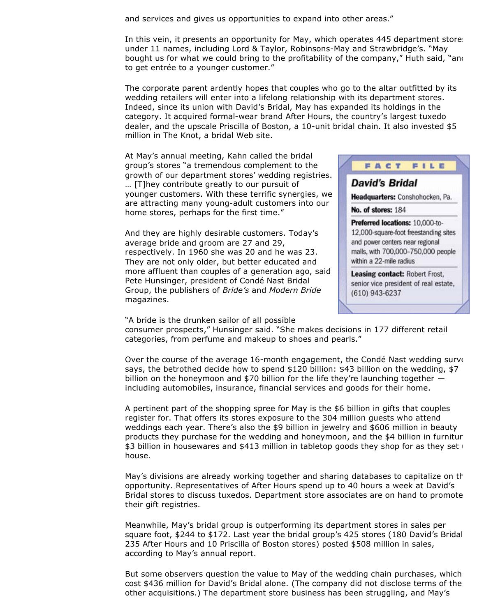and services and gives us opportunities to expand into other areas."

In this vein, it presents an opportunity for May, which operates 445 department stores under 11 names, including Lord & Taylor, Robinsons-May and Strawbridge's. "May bought us for what we could bring to the profitability of the company," Huth said, "and to get entrée to a younger customer."

The corporate parent ardently hopes that couples who go to the altar outfitted by its wedding retailers will enter into a lifelong relationship with its department stores. Indeed, since its union with David's Bridal, May has expanded its holdings in the category. It acquired formal-wear brand After Hours, the country's largest tuxedo dealer, and the upscale Priscilla of Boston, a 10-unit bridal chain. It also invested \$5 million in The Knot, a bridal Web site.

At May's annual meeting, Kahn called the bridal group's stores "a tremendous complement to the growth of our department stores' wedding registries. … [T]hey contribute greatly to our pursuit of younger customers. With these terrific synergies, we are attracting many young-adult customers into our home stores, perhaps for the first time."

And they are highly desirable customers. Today's average bride and groom are 27 and 29, respectively. In 1960 she was 20 and he was 23. They are not only older, but better educated and more affluent than couples of a generation ago, said Pete Hunsinger, president of Condé Nast Bridal Group, the publishers of *Bride's* and *Modern Bride* magazines.

"A bride is the drunken sailor of all possible



FILE

FACT

David's Bridal

Leasing contact: Robert Frost, senior vice president of real estate, (610) 943-6237

consumer prospects," Hunsinger said. "She makes decisions in 177 different retail categories, from perfume and makeup to shoes and pearls."

Over the course of the average 16-month engagement, the Condé Nast wedding surve says, the betrothed decide how to spend \$120 billion: \$43 billion on the wedding, \$7 billion on the honeymoon and \$70 billion for the life they're launching together including automobiles, insurance, financial services and goods for their home.

A pertinent part of the shopping spree for May is the \$6 billion in gifts that couples register for. That offers its stores exposure to the 304 million guests who attend weddings each year. There's also the \$9 billion in jewelry and \$606 million in beauty products they purchase for the wedding and honeymoon, and the \$4 billion in furnitur \$3 billion in housewares and \$413 million in tabletop goods they shop for as they set house.

May's divisions are already working together and sharing databases to capitalize on the opportunity. Representatives of After Hours spend up to 40 hours a week at David's Bridal stores to discuss tuxedos. Department store associates are on hand to promote their gift registries.

Meanwhile, May's bridal group is outperforming its department stores in sales per square foot, \$244 to \$172. Last year the bridal group's 425 stores (180 David's Bridal, 235 After Hours and 10 Priscilla of Boston stores) posted \$508 million in sales, according to May's annual report.

But some observers question the value to May of the wedding chain purchases, which cost \$436 million for David's Bridal alone. (The company did not disclose terms of the other acquisitions.) The department store business has been struggling, and May's